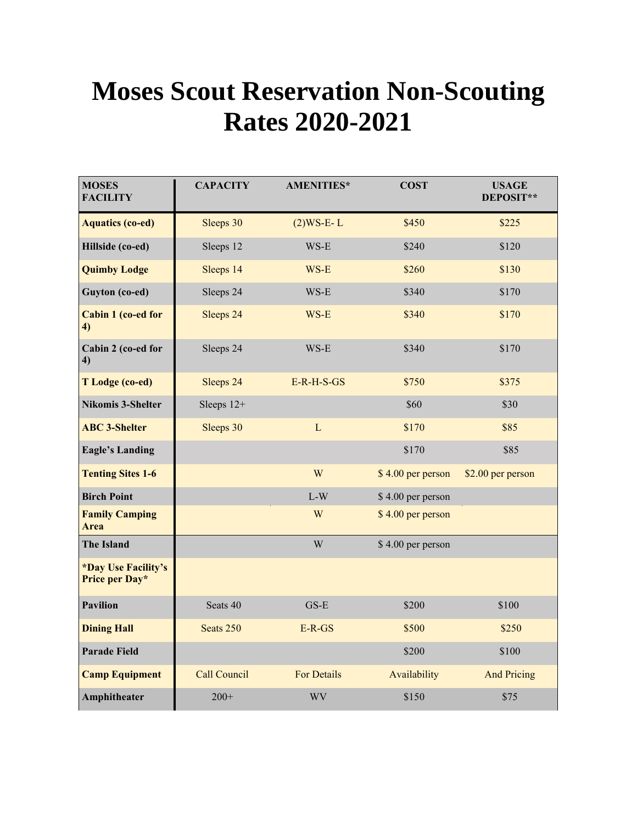## **Moses Scout Reservation Non-Scouting Rates 2020-2021**

| <b>MOSES</b><br><b>FACILITY</b>       | <b>CAPACITY</b>     | <b>AMENITIES*</b>  | <b>COST</b>       | <b>USAGE</b><br>DEPOSIT** |
|---------------------------------------|---------------------|--------------------|-------------------|---------------------------|
| <b>Aquatics (co-ed)</b>               | Sleeps 30           | $(2)$ WS-E-L       | \$450             | \$225                     |
| Hillside (co-ed)                      | Sleeps 12           | WS-E               | \$240             | \$120                     |
| <b>Quimby Lodge</b>                   | Sleeps 14           | WS-E               | \$260             | \$130                     |
| Guyton (co-ed)                        | Sleeps 24           | WS-E               | \$340             | \$170                     |
| Cabin 1 (co-ed for<br>4)              | Sleeps 24           | WS-E               | \$340             | \$170                     |
| Cabin 2 (co-ed for<br>4)              | Sleeps 24           | WS-E               | \$340             | \$170                     |
| T Lodge (co-ed)                       | Sleeps 24           | $E-R-H-S-GS$       | \$750             | \$375                     |
| <b>Nikomis 3-Shelter</b>              | Sleeps $12+$        |                    | \$60              | \$30                      |
| <b>ABC 3-Shelter</b>                  | Sleeps 30           | L                  | \$170             | \$85                      |
| <b>Eagle's Landing</b>                |                     |                    | \$170             | \$85                      |
| <b>Tenting Sites 1-6</b>              |                     | W                  | \$4.00 per person | \$2.00 per person         |
| <b>Birch Point</b>                    |                     | $L-W$              | \$4.00 per person |                           |
| <b>Family Camping</b><br><b>Area</b>  |                     | W                  | \$4.00 per person |                           |
| <b>The Island</b>                     |                     | W                  | \$4.00 per person |                           |
| *Day Use Facility's<br>Price per Day* |                     |                    |                   |                           |
| <b>Pavilion</b>                       | Seats 40            | $GS-E$             | \$200             | \$100                     |
| <b>Dining Hall</b>                    | Seats 250           | $E-R-GS$           | \$500             | \$250                     |
| <b>Parade Field</b>                   |                     |                    | \$200             | \$100                     |
| <b>Camp Equipment</b>                 | <b>Call Council</b> | <b>For Details</b> | Availability      | <b>And Pricing</b>        |
| Amphitheater                          | $200+$              | <b>WV</b>          | \$150             | \$75                      |